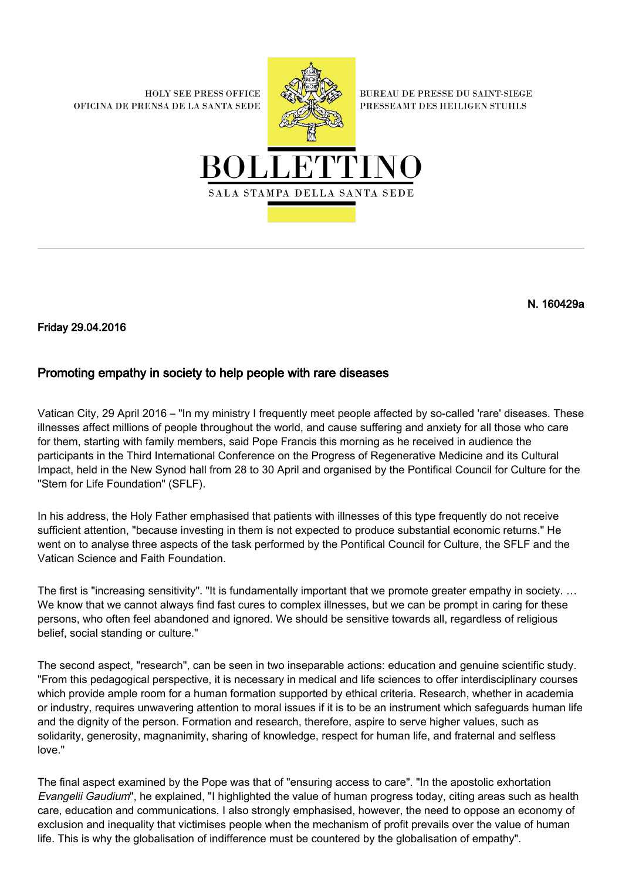**HOLY SEE PRESS OFFICE** OFICINA DE PRENSA DE LA SANTA SEDE



**BUREAU DE PRESSE DU SAINT-SIEGE** PRESSEAMT DES HEILIGEN STUHLS



N. 160429a

Friday 29.04.2016

## Promoting empathy in society to help people with rare diseases

Vatican City, 29 April 2016 – "In my ministry I frequently meet people affected by so-called 'rare' diseases. These illnesses affect millions of people throughout the world, and cause suffering and anxiety for all those who care for them, starting with family members, said Pope Francis this morning as he received in audience the participants in the Third International Conference on the Progress of Regenerative Medicine and its Cultural Impact, held in the New Synod hall from 28 to 30 April and organised by the Pontifical Council for Culture for the "Stem for Life Foundation" (SFLF).

In his address, the Holy Father emphasised that patients with illnesses of this type frequently do not receive sufficient attention, "because investing in them is not expected to produce substantial economic returns." He went on to analyse three aspects of the task performed by the Pontifical Council for Culture, the SFLF and the Vatican Science and Faith Foundation.

The first is "increasing sensitivity". "It is fundamentally important that we promote greater empathy in society. ... We know that we cannot always find fast cures to complex illnesses, but we can be prompt in caring for these persons, who often feel abandoned and ignored. We should be sensitive towards all, regardless of religious belief, social standing or culture."

The second aspect, "research", can be seen in two inseparable actions: education and genuine scientific study. "From this pedagogical perspective, it is necessary in medical and life sciences to offer interdisciplinary courses which provide ample room for a human formation supported by ethical criteria. Research, whether in academia or industry, requires unwavering attention to moral issues if it is to be an instrument which safeguards human life and the dignity of the person. Formation and research, therefore, aspire to serve higher values, such as solidarity, generosity, magnanimity, sharing of knowledge, respect for human life, and fraternal and selfless love."

The final aspect examined by the Pope was that of "ensuring access to care". "In the apostolic exhortation Evangelii Gaudium", he explained, "I highlighted the value of human progress today, citing areas such as health care, education and communications. I also strongly emphasised, however, the need to oppose an economy of exclusion and inequality that victimises people when the mechanism of profit prevails over the value of human life. This is why the globalisation of indifference must be countered by the globalisation of empathy".